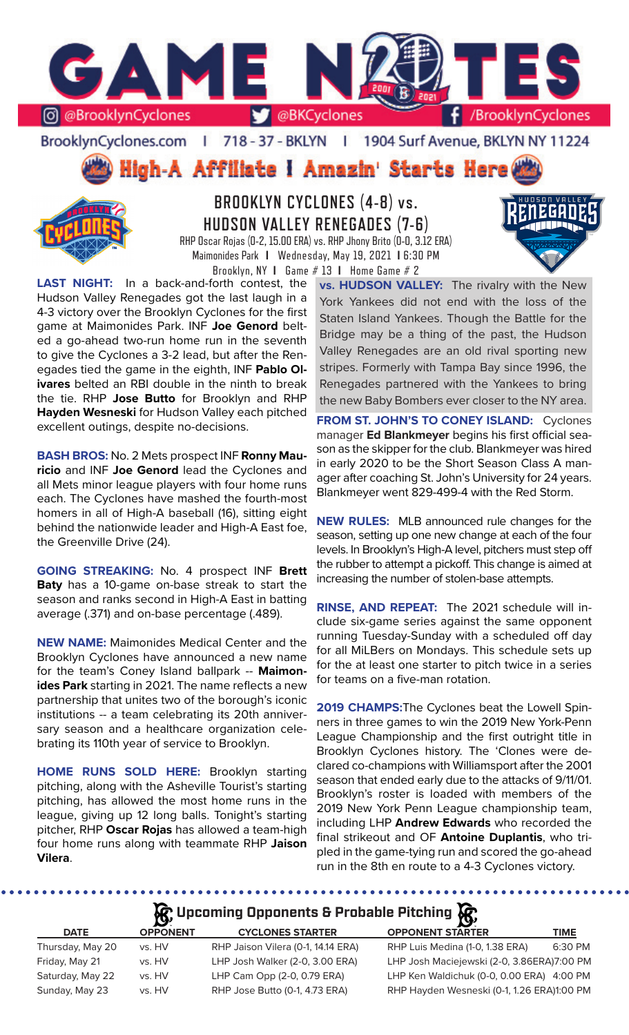

BrooklynCyclones.com | 718 - 37 - BKLYN | 1904 Surf Avenue, BKLYN NY 11224



**BROOKLYN CYCLONES (4-8) vs. HUDSON VALLEY RENEGADES (7-6)** RHP Oscar Rojas (0-2, 15.00 ERA) vs. RHP Jhony Brito (0-0, 3.12 ERA) Maimonides Park **I** Wednesday, May 19, 2021 **I** 6:30 PM

Brooklyn, NY **I** Game # 13 **I** Home Game # 2

**LAST NIGHT:** In a back-and-forth contest, the Hudson Valley Renegades got the last laugh in a 4-3 victory over the Brooklyn Cyclones for the first game at Maimonides Park. INF **Joe Genord** belted a go-ahead two-run home run in the seventh to give the Cyclones a 3-2 lead, but after the Renegades tied the game in the eighth, INF **Pablo Olivares** belted an RBI double in the ninth to break the tie. RHP **Jose Butto** for Brooklyn and RHP **Hayden Wesneski** for Hudson Valley each pitched excellent outings, despite no-decisions.

**BASH BROS:** No. 2 Mets prospect INF **Ronny Mauricio** and INF **Joe Genord** lead the Cyclones and all Mets minor league players with four home runs each. The Cyclones have mashed the fourth-most homers in all of High-A baseball (16), sitting eight behind the nationwide leader and High-A East foe, the Greenville Drive (24).

**GOING STREAKING:** No. 4 prospect INF **Brett Baty** has a 10-game on-base streak to start the season and ranks second in High-A East in batting average (.371) and on-base percentage (.489).

**NEW NAME:** Maimonides Medical Center and the Brooklyn Cyclones have announced a new name for the team's Coney Island ballpark -- **Maimonides Park** starting in 2021. The name reflects a new partnership that unites two of the borough's iconic institutions -- a team celebrating its 20th anniversary season and a healthcare organization celebrating its 110th year of service to Brooklyn.

**HOME RUNS SOLD HERE:** Brooklyn starting pitching, along with the Asheville Tourist's starting pitching, has allowed the most home runs in the league, giving up 12 long balls. Tonight's starting pitcher, RHP **Oscar Rojas** has allowed a team-high four home runs along with teammate RHP **Jaison Vilera**.

**vs. HUDSON VALLEY:** The rivalry with the New York Yankees did not end with the loss of the Staten Island Yankees. Though the Battle for the Bridge may be a thing of the past, the Hudson Valley Renegades are an old rival sporting new stripes. Formerly with Tampa Bay since 1996, the Renegades partnered with the Yankees to bring the new Baby Bombers ever closer to the NY area.

**FROM ST. JOHN'S TO CONEY ISLAND:** Cyclones manager **Ed Blankmeyer** begins his first official season as the skipper for the club. Blankmeyer was hired in early 2020 to be the Short Season Class A manager after coaching St. John's University for 24 years. Blankmeyer went 829-499-4 with the Red Storm.

**NEW RULES:** MLB announced rule changes for the season, setting up one new change at each of the four levels. In Brooklyn's High-A level, pitchers must step off the rubber to attempt a pickoff. This change is aimed at increasing the number of stolen-base attempts.

**RINSE, AND REPEAT:** The 2021 schedule will include six-game series against the same opponent running Tuesday-Sunday with a scheduled off day for all MiLBers on Mondays. This schedule sets up for the at least one starter to pitch twice in a series for teams on a five-man rotation.

**2019 CHAMPS:**The Cyclones beat the Lowell Spinners in three games to win the 2019 New York-Penn League Championship and the first outright title in Brooklyn Cyclones history. The 'Clones were declared co-champions with Williamsport after the 2001 season that ended early due to the attacks of 9/11/01. Brooklyn's roster is loaded with members of the 2019 New York Penn League championship team, including LHP **Andrew Edwards** who recorded the final strikeout and OF **Antoine Duplantis**, who tripled in the game-tying run and scored the go-ahead run in the 8th en route to a 4-3 Cyclones victory.

# **A**: Upcoming Opponents & Probable Pitching  $\mathbb{R}$

| <b>DATE</b>      | $\overline{\phantom{0}}$<br><b>OPPONENT</b> | <b>CYCLONES STARTER</b>            | <b>OPPONENT STARTER</b>                    | TIME    |
|------------------|---------------------------------------------|------------------------------------|--------------------------------------------|---------|
| Thursday, May 20 | vs. HV                                      | RHP Jaison Vilera (0-1, 14.14 ERA) | RHP Luis Medina (1-0, 1.38 ERA)            | 6:30 PM |
| Friday, May 21   | vs. HV                                      | LHP Josh Walker (2-0, 3.00 ERA)    | LHP Josh Maciejewski (2-0, 3.86ERA)7:00 PM |         |
| Saturday, May 22 | vs. HV                                      | LHP Cam Opp (2-0, 0.79 ERA)        | LHP Ken Waldichuk (0-0, 0.00 ERA) 4:00 PM  |         |
| Sunday, May 23   | vs. HV                                      | RHP Jose Butto (0-1, 4.73 ERA)     | RHP Hayden Wesneski (0-1, 1.26 ERA)1:00 PM |         |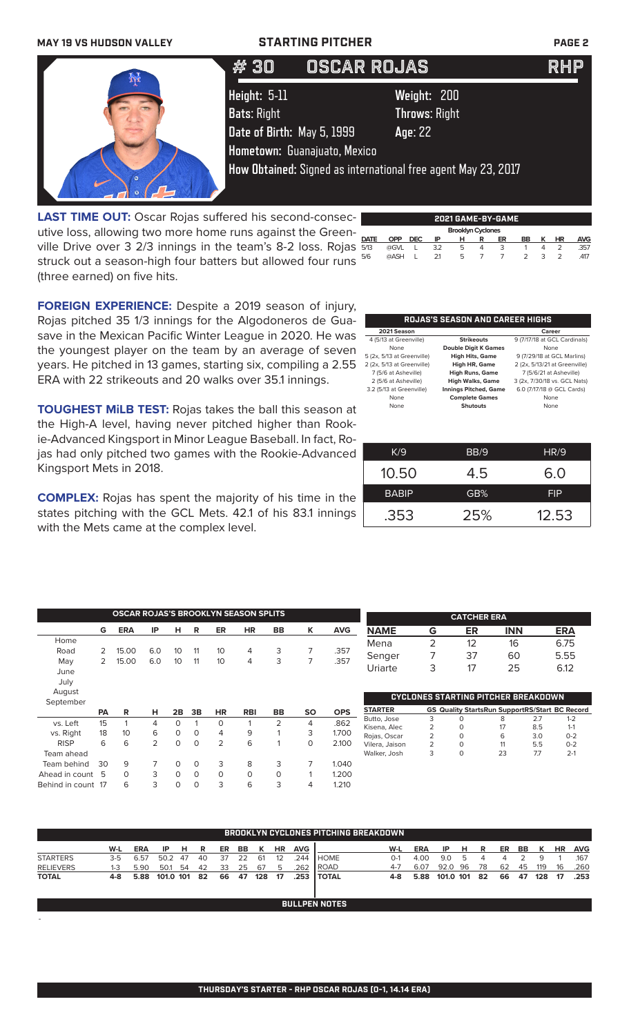

**LAST TIME OUT:** Oscar Rojas suffered his second-consecutive loss, allowing two more home runs against the Greenville Drive over 3 2/3 innings in the team's 8-2 loss. Rojas struck out a season-high four batters but allowed four runs (three earned) on five hits.

|                          | 2021 GAME-BY-GAME |      |     |   |   |    |               |   |    |            |  |  |  |
|--------------------------|-------------------|------|-----|---|---|----|---------------|---|----|------------|--|--|--|
| <b>Brooklyn Cyclones</b> |                   |      |     |   |   |    |               |   |    |            |  |  |  |
| <b>DATE</b>              | OPP               | DEC. | IP  | н | R | ER | BB            | ĸ | HR | <b>AVG</b> |  |  |  |
| 5/13                     | @GVL              |      | 3.2 | 5 | 4 | 3  |               | 4 |    | 357        |  |  |  |
| 5/6                      | @ASH              |      | 21  | 5 |   |    | $\mathcal{P}$ | ₹ | っ  | .417       |  |  |  |

**FOREIGN EXPERIENCE:** Despite a 2019 season of injury, Rojas pitched 35 1/3 innings for the Algodoneros de Guasave in the Mexican Pacific Winter League in 2020. He was the youngest player on the team by an average of seven years. He pitched in 13 games, starting six, compiling a 2.55 ERA with 22 strikeouts and 20 walks over 35.1 innings.

**TOUGHEST MiLB TEST:** Rojas takes the ball this season at the High-A level, having never pitched higher than Rookie-Advanced Kingsport in Minor League Baseball. In fact, Rojas had only pitched two games with the Rookie-Advanced Kingsport Mets in 2018.

**COMPLEX:** Rojas has spent the majority of his time in the states pitching with the GCL Mets. 42.1 of his 83.1 innings with the Mets came at the complex level.

Ahead in count 5 0 3 0 0 0 0 0 0 1 1.200<br>
Rehind in count 17 6 3 0 0 3 6 3 4 1.210 Behind in count 17 6 3 0 0 3 6 3 4 1.210

-

| <b>Strikeouts</b>            | 9 (7/17/18 at GCL Cardinals)  |
|------------------------------|-------------------------------|
| <b>Double Digit K Games</b>  | None                          |
| <b>High Hits, Game</b>       | 9 (7/29/18 at GCL Marlins)    |
| High HR, Game                | 2 (2x, 5/13/21 at Greenville) |
| <b>High Runs, Game</b>       | 7 (5/6/21 at Asheville)       |
| <b>High Walks, Game</b>      | 3 (2x, 7/30/18 vs. GCL Nats)  |
| <b>Innings Pitched, Game</b> | 6.0 (7/17/18 @ GCL Cards)     |
| <b>Complete Games</b>        | None                          |
| <b>Shutouts</b>              | None                          |
|                              |                               |
|                              |                               |

**ROJAS'S SEASON AND CAREER HIGHS**

| K/9          | BB/9 | HR/9       |
|--------------|------|------------|
| 10.50        | 4.5  | 6.0        |
| <b>BABIP</b> | GB%  | <b>FIP</b> |
| .353         | 25%  | 12.53      |

|             |    | <b>OSCAR ROJAS'S BROOKLYN SEASON SPLITS</b> |     |                 |          |                |            |           |           |            |                |   | <b>CATCHER ERA</b>                                    |            |     |            |
|-------------|----|---------------------------------------------|-----|-----------------|----------|----------------|------------|-----------|-----------|------------|----------------|---|-------------------------------------------------------|------------|-----|------------|
|             | G  | <b>ERA</b>                                  | IP  | н               | R        | ER             | <b>HR</b>  | <b>BB</b> | K         | <b>AVG</b> | <b>NAME</b>    | G | ER                                                    | <b>INN</b> |     | <b>ERA</b> |
| Home        |    |                                             |     |                 |          |                |            |           |           |            | Mena           | ∍ | 12                                                    | 16         |     | 6.75       |
| Road        | 2  | 15.00                                       | 6.0 | 10              | 11       | 10             | 4          | 3         |           | .357       |                |   | 37                                                    |            |     |            |
| May         |    | 15.00                                       | 6.0 | 10 <sup>°</sup> | 11       | 10             | 4          | 3         |           | .357       | Senger         |   |                                                       | 60         |     | 5.55       |
| June        |    |                                             |     |                 |          |                |            |           |           |            | Uriarte        | 3 | 17                                                    | 25         |     | 6.12       |
| July        |    |                                             |     |                 |          |                |            |           |           |            |                |   |                                                       |            |     |            |
|             |    |                                             |     |                 |          |                |            |           |           |            |                |   |                                                       |            |     |            |
| August      |    |                                             |     |                 |          |                |            |           |           |            |                |   | <b>CYCLONES STARTING PITCHER BREAKDOWN</b>            |            |     |            |
| September   |    |                                             |     |                 |          |                |            |           |           |            |                |   |                                                       |            |     |            |
|             | PA | R                                           | н   | 2B              | 3B       | <b>HR</b>      | <b>RBI</b> | <b>BB</b> | <b>SO</b> | <b>OPS</b> | <b>STARTER</b> |   | <b>GS Quality StartsRun SupportRS/Start BC Record</b> |            |     |            |
| vs. Left    | 15 |                                             | 4   | 0               |          | 0              |            | 2         | 4         | .862       | Butto, Jose    | 3 |                                                       | 8          | 2.7 | $1 - 2$    |
|             | 18 | 10 <sup>°</sup>                             | 6   | 0               | $\Omega$ | 4              | 9          |           | 3         |            | Kisena, Alec   | 2 | $\Omega$                                              | 17         | 8.5 | $1 - 1$    |
| vs. Right   |    |                                             |     |                 |          |                |            |           |           | 1.700      | Rojas, Oscar   | 2 | $\Omega$                                              | 6          | 3.0 | $0 - 2$    |
| <b>RISP</b> | 6  | 6                                           | 2   | 0               | $\Omega$ | $\overline{2}$ | 6          |           | $\Omega$  | 2.100      | Vilera, Jaison | 2 |                                                       | 11         | 5.5 | $0 - 2$    |
| Team ahead  |    |                                             |     |                 |          |                |            |           |           |            | Walker, Josh   | 3 | $\mathbf 0$                                           | 23         | 7.7 | $2 - 1$    |
| Team behind | 30 | 9                                           |     | 0               | 0        | 3              | 8          | 3         |           | 1.040      |                |   |                                                       |            |     |            |

|                  | <b>BROOKLYN CYCLONES PITCHING BREAKDOWN</b> |            |           |    |     |    |     |     |    |            |                      |         |            |           |     |    |    |    |     |           |            |
|------------------|---------------------------------------------|------------|-----------|----|-----|----|-----|-----|----|------------|----------------------|---------|------------|-----------|-----|----|----|----|-----|-----------|------------|
|                  | W-L                                         | <b>ERA</b> | ΙP        | н  |     | ER | BB. |     | ΗR | <b>AVG</b> |                      | W-L     | <b>ERA</b> | IP        | н   | R  | ER | BB |     | <b>HR</b> | <b>AVG</b> |
| <b>STARTERS</b>  | $3-5$                                       | 6.57       | 50.2      | 47 | 40  | 37 | 22  | 61  | 12 | 244        | <b>HOME</b>          | $O-1$   | 4.00       | 9.0       |     |    |    |    | 9   |           | .167       |
| <b>RELIEVERS</b> | 1-3                                         | 5.90       | 50.1      | 54 | 42  | 33 | 25  | 67  | 5  | .262       | ROAD                 | $4 - 7$ | 6.07       | 92.0      | -96 | 78 | 62 | 45 | 119 | 16        | .260       |
| <b>TOTAL</b>     | 4-8                                         | 5.88       | 101.0 101 |    | -82 | 66 | 47  | 128 | 17 | .253       | <b>TOTAL</b>         | 4-8     | 5.88       | 101.0 101 |     | 82 | 66 | 47 | 128 | 17        | .253       |
|                  |                                             |            |           |    |     |    |     |     |    |            |                      |         |            |           |     |    |    |    |     |           |            |
|                  |                                             |            |           |    |     |    |     |     |    |            | <b>BULLPEN NOTES</b> |         |            |           |     |    |    |    |     |           |            |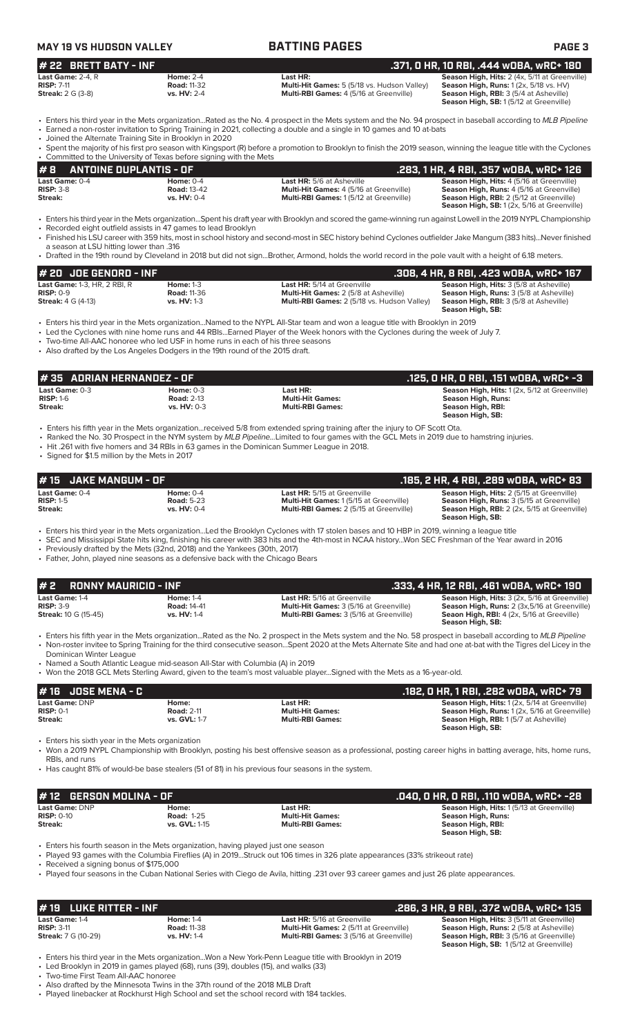| <b>MAY 19 VS HUDSON VALLEY</b>                                           |                                                                                                                                                                    | <b>BATTING PAGES</b>                                                                                                                                                                                                                                                                                                                                                                                                                                                                          | <b>PAGE 3</b>                                                                                                                                                                     |
|--------------------------------------------------------------------------|--------------------------------------------------------------------------------------------------------------------------------------------------------------------|-----------------------------------------------------------------------------------------------------------------------------------------------------------------------------------------------------------------------------------------------------------------------------------------------------------------------------------------------------------------------------------------------------------------------------------------------------------------------------------------------|-----------------------------------------------------------------------------------------------------------------------------------------------------------------------------------|
| # 22 BRETT BATY - INF                                                    |                                                                                                                                                                    |                                                                                                                                                                                                                                                                                                                                                                                                                                                                                               | .371, 0 HR, 10 RBI, .444 WOBA, WRC+ 180                                                                                                                                           |
| Last Game: 2-4. R<br><b>RISP: 7-11</b><br><b>Streak:</b> 2 G (3-8)       | <b>Home: 2-4</b><br><b>Road: 11-32</b><br>vs. HV: 2-4                                                                                                              | Last HR:<br>Multi-Hit Games: 5 (5/18 vs. Hudson Valley)<br>Multi-RBI Games: 4 (5/16 at Greenville)                                                                                                                                                                                                                                                                                                                                                                                            | Season High, Hits: 2 (4x, 5/11 at Greenville)<br>Season High, Runs: 1 (2x, 5/18 vs. HV)<br>Season High, RBI: 3 (5/4 at Asheville)<br>Season High, SB: 1 (5/12 at Greenville)      |
|                                                                          | • Joined the Alternate Training Site in Brooklyn in 2020                                                                                                           | • Enters his third year in the Mets organizationRated as the No. 4 prospect in the Mets system and the No. 94 prospect in baseball according to MLB Pipeline<br>• Earned a non-roster invitation to Spring Training in 2021, collecting a double and a single in 10 games and 10 at-bats                                                                                                                                                                                                      |                                                                                                                                                                                   |
|                                                                          |                                                                                                                                                                    | • Spent the majority of his first pro season with Kingsport (R) before a promotion to Brooklyn to finish the 2019 season, winning the league title with the Cyclones                                                                                                                                                                                                                                                                                                                          |                                                                                                                                                                                   |
| #8<br><b>ANTOINE DUPLANTIS - OF</b>                                      | • Committed to the University of Texas before signing with the Mets                                                                                                |                                                                                                                                                                                                                                                                                                                                                                                                                                                                                               | .283, 1 HR, 4 RBI, .357 wOBA, wRC+ 126                                                                                                                                            |
| Last Game: 0-4<br><b>RISP: 3-8</b><br>Streak:                            | Home: $0-4$<br><b>Road: 13-42</b><br>vs. HV: 0-4                                                                                                                   | <b>Last HR: 5/6 at Asheville</b><br>Multi-Hit Games: 4 (5/16 at Greenville)<br>Multi-RBI Games: 1 (5/12 at Greenville)                                                                                                                                                                                                                                                                                                                                                                        | Season High, Hits: 4 (5/16 at Greenville)<br>Season High, Runs: 4 (5/16 at Greenville)<br>Season High, RBI: 2 (5/12 at Greenville)<br>Season High, SB: 1 (2x, 5/16 at Greenville) |
| a season at LSU hitting lower than .316                                  | • Recorded eight outfield assists in 47 games to lead Brooklyn                                                                                                     | • Enters his third year in the Mets organizationSpent his draft year with Brooklyn and scored the game-winning run against Lowell in the 2019 NYPL Championship<br>• Finished his LSU career with 359 hits, most in school history and second-most in SEC history behind Cyclones outfielder Jake Mangum (383 hits)Never finished<br>• Drafted in the 19th round by Cleveland in 2018 but did not signBrother, Armond, holds the world record in the pole vault with a height of 6.18 meters. |                                                                                                                                                                                   |
| JOE GENORD - INF<br>#20                                                  |                                                                                                                                                                    |                                                                                                                                                                                                                                                                                                                                                                                                                                                                                               | .308, 4 HR, 8 RBI, .423 w0BA, wRC+ 167                                                                                                                                            |
| Last Game: 1-3, HR, 2 RBI, R<br>$RISP: 0-9$<br><b>Streak: 4 G (4-13)</b> | <b>Home: 1-3</b><br><b>Road: 11-36</b><br>vs. HV: 1-3                                                                                                              | Last HR: 5/14 at Greenville<br>Multi-Hit Games: 2 (5/8 at Asheville)<br>Multi-RBI Games: 2 (5/18 vs. Hudson Valley)                                                                                                                                                                                                                                                                                                                                                                           | Season High, Hits: 3 (5/8 at Asheville)<br>Season High, Runs: 3 (5/8 at Asheville)<br>Season High, RBI: 3 (5/8 at Asheville)<br>Season High, SB:                                  |
|                                                                          | • Two-time All-AAC honoree who led USF in home runs in each of his three seasons<br>• Also drafted by the Los Angeles Dodgers in the 19th round of the 2015 draft. | • Enters his third year in the Mets organizationNamed to the NYPL All-Star team and won a league title with Brooklyn in 2019<br>• Led the Cyclones with nine home runs and 44 RBIsEarned Player of the Week honors with the Cyclones during the week of July 7.                                                                                                                                                                                                                               |                                                                                                                                                                                   |
| #35 ADRIAN HERNANDEZ - OF                                                |                                                                                                                                                                    |                                                                                                                                                                                                                                                                                                                                                                                                                                                                                               | .125, 0 HR, 0 RBI, .151 wOBA, wRC+ -3                                                                                                                                             |
| Last Game: 0-3<br><b>RISP: 1-6</b><br>Streak:                            | Home: $0-3$<br><b>Road: 2-13</b><br>vs. HV: 0-3                                                                                                                    | Last HR:<br><b>Multi-Hit Games:</b><br><b>Multi-RBI Games:</b>                                                                                                                                                                                                                                                                                                                                                                                                                                | Season High, Hits: 1 (2x, 5/12 at Greenville)<br><b>Season High, Runs:</b><br>Season High, RBI:<br>Season High, SB:                                                               |
| • Signed for \$1.5 million by the Mets in 2017                           |                                                                                                                                                                    | • Enters his fifth year in the Mets organizationreceived 5/8 from extended spring training after the injury to OF Scott Ota.<br>• Ranked the No. 30 Prospect in the NYM system by MLB PipelineLimited to four games with the GCL Mets in 2019 due to hamstring injuries.<br>• Hit .261 with five homers and 34 RBIs in 63 games in the Dominican Summer League in 2018.                                                                                                                       |                                                                                                                                                                                   |
| #15<br>JAKE MANGUM - OF<br>Last Game: 0-4                                | <b>Home: 0-4</b>                                                                                                                                                   | Last HR: 5/15 at Greenville                                                                                                                                                                                                                                                                                                                                                                                                                                                                   | .185, 2 HR, 4 RBI, .289 wOBA, wRC+ 83<br>Season High, Hits: 2 (5/15 at Greenville)                                                                                                |
| <b>RISP: 1-5</b><br>Streak:                                              | <b>Road: 5-23</b><br>vs. HV: 0-4                                                                                                                                   | Multi-Hit Games: 1 (5/15 at Greenville)<br>Multi-RBI Games: 2 (5/15 at Greenville)                                                                                                                                                                                                                                                                                                                                                                                                            | Season High, Runs: 3 (5/15 at Greenville)<br>Season High, RBI: 2 (2x, 5/15 at Greenville)<br>Season High, SB:                                                                     |
|                                                                          | • Previously drafted by the Mets (32nd, 2018) and the Yankees (30th, 2017)<br>• Father, John, played nine seasons as a defensive back with the Chicago Bears       | • Enters his third year in the Mets organizationLed the Brooklyn Cyclones with 17 stolen bases and 10 HBP in 2019, winning a league title<br>• SEC and Mississippi State hits king, finishing his career with 383 hits and the 4th-most in NCAA historyWon SEC Freshman of the Year award in 2016                                                                                                                                                                                             |                                                                                                                                                                                   |
| <b>RONNY MAURICIO - INF</b><br>#2                                        |                                                                                                                                                                    |                                                                                                                                                                                                                                                                                                                                                                                                                                                                                               | .333, 4 HR, 12 RBI, .461 wOBA, wRC+ 190                                                                                                                                           |
| Last Game: 1-4<br><b>RISP: 3-9</b><br><b>Streak: 10 G (15-45)</b>        | <b>Home: 1-4</b><br><b>Road: 14-41</b><br>vs. HV: 1-4                                                                                                              | Last HR: 5/16 at Greenville<br>Multi-Hit Games: 3 (5/16 at Greenville)<br>Multi-RBI Games: 3 (5/16 at Greenville)                                                                                                                                                                                                                                                                                                                                                                             | Season High, Hits: 3 (2x, 5/16 at Greenville)<br>Season High, Runs: 2 (3x, 5/16 at Greenville)<br>Seaon High, RBI: 4 (2x, 5/16 at Greeville)<br>Season High, SB:                  |
| Dominican Winter League                                                  |                                                                                                                                                                    | • Enters his fifth year in the Mets organizationRated as the No. 2 prospect in the Mets system and the No. 58 prospect in baseball according to MLB Pipeline<br>• Non-roster invitee to Spring Training for the third consecutive seasonSpent 2020 at the Mets Alternate Site and had one at-bat with the Tigres del Licey in the                                                                                                                                                             |                                                                                                                                                                                   |
|                                                                          | • Named a South Atlantic League mid-season All-Star with Columbia (A) in 2019                                                                                      | • Won the 2018 GCL Mets Sterling Award, given to the team's most valuable playerSigned with the Mets as a 16-year-old.                                                                                                                                                                                                                                                                                                                                                                        |                                                                                                                                                                                   |
| <b>JOSE MENA - C</b><br>#16                                              |                                                                                                                                                                    |                                                                                                                                                                                                                                                                                                                                                                                                                                                                                               | .182, 0 HR, 1 RBI, .282 w0BA, wRC+ 79                                                                                                                                             |
| Last Game: DNP<br><b>RISP: 0-1</b><br>Streak:                            | Home:<br><b>Road: 2-11</b><br>vs. GVL: 1-7                                                                                                                         | Last HR:<br><b>Multi-Hit Games:</b><br><b>Multi-RBI Games:</b>                                                                                                                                                                                                                                                                                                                                                                                                                                | Season High, Hits: 1 (2x, 5/14 at Greenville)<br>Season High, Runs: 1 (2x, 5/16 at Greenville)<br>Season High, RBI: 1(5/7 at Asheville)<br>Season High, SB:                       |
| • Enters his sixth year in the Mets organization<br>RBIs, and runs       |                                                                                                                                                                    | • Won a 2019 NYPL Championship with Brooklyn, posting his best offensive season as a professional, posting career highs in batting average, hits, home runs,                                                                                                                                                                                                                                                                                                                                  |                                                                                                                                                                                   |
|                                                                          |                                                                                                                                                                    | • Has caught 81% of would-be base stealers (51 of 81) in his previous four seasons in the system.                                                                                                                                                                                                                                                                                                                                                                                             |                                                                                                                                                                                   |
| <b>GERSON MOLINA - OF</b><br># 12                                        |                                                                                                                                                                    |                                                                                                                                                                                                                                                                                                                                                                                                                                                                                               | .040, 0 HR, 0 RBI, .110 WOBA, WRC+ -28                                                                                                                                            |
| Last Game: DNP<br><b>RISP: 0-10</b><br>Streak:                           | Home:<br><b>Road: 1-25</b><br>vs. GVL: 1-15                                                                                                                        | Last HR:<br><b>Multi-Hit Games:</b><br><b>Multi-RBI Games:</b>                                                                                                                                                                                                                                                                                                                                                                                                                                | Season High, Hits: 1 (5/13 at Greenville)<br><b>Season High, Runs:</b><br>Season High, RBI:<br><b>Season High, SB:</b>                                                            |
| • Received a signing bonus of \$175,000                                  | • Enters his fourth season in the Mets organization, having played just one season                                                                                 | • Played 93 games with the Columbia Fireflies (A) in 2019Struck out 106 times in 326 plate appearances (33% strikeout rate)<br>• Played four seasons in the Cuban National Series with Ciego de Avila, hitting .231 over 93 career games and just 26 plate appearances.                                                                                                                                                                                                                       |                                                                                                                                                                                   |
|                                                                          |                                                                                                                                                                    |                                                                                                                                                                                                                                                                                                                                                                                                                                                                                               |                                                                                                                                                                                   |
| <b>LUKE RITTER - INF</b><br># 19                                         |                                                                                                                                                                    |                                                                                                                                                                                                                                                                                                                                                                                                                                                                                               | .286, 3 HR, 9 RBI, .372 wOBA, wRC+ 135                                                                                                                                            |
| Last Game: 1-4<br><b>RISP: 3-11</b><br><b>Streak: 7 G (10-29)</b>        | <b>Home: 1-4</b><br><b>Road: 11-38</b><br><b>vs. HV: 1-4</b>                                                                                                       | Last HR: 5/16 at Greenville<br>Multi-Hit Games: 2 (5/11 at Greenville)<br>Multi-RBI Games: 3 (5/16 at Greenville)                                                                                                                                                                                                                                                                                                                                                                             | Season High, Hits: 3 (5/11 at Greenville)<br>Season High, Runs: 2 (5/8 at Asheville)<br>Season High, RBI: 3 (5/16 at Greenville)<br>Season High, SB: 1 (5/12 at Greenville)       |
|                                                                          | • Led Brooklyn in 2019 in games played (68), runs (39), doubles (15), and walks (33)                                                                               | • Enters his third year in the Mets organizationWon a New York-Penn League title with Brooklyn in 2019                                                                                                                                                                                                                                                                                                                                                                                        |                                                                                                                                                                                   |

• Two-time First Team All-AAC honoree • Also drafted by the Minnesota Twins in the 37th round of the 2018 MLB Draft

• Played linebacker at Rockhurst High School and set the school record with 184 tackles.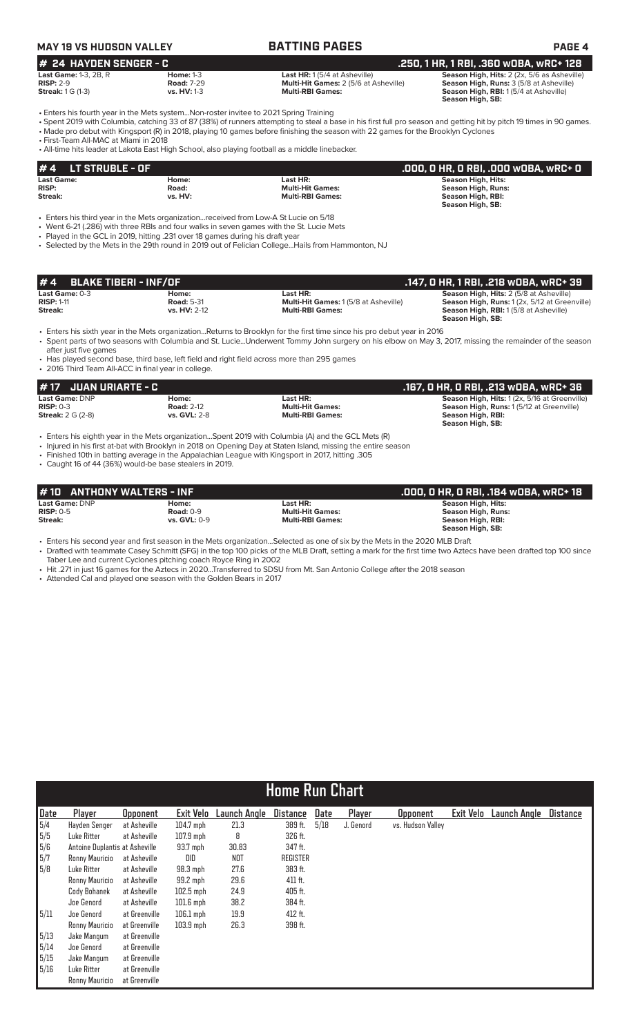## **MAY 19 VS HUDSON VALLEY BATTING PAGES PAGE 4**

### **# 24 HAYDEN SENGER - C**<br>
Last HR: 1(5/4 at Asheville) **.250, 1 HR, 1 RBI, .360 wOBA, wRC+ 128**<br>
RISP: 2-9 **2.3, 28, R** RISP: 2-9 **Road: 7-29** Multi-Hit Games: 2 (5/6 at Asheville) **Season High, Runs: 3 (5/8 at Asheville**) **Last Game:** 1-3, 2B, R **Home:** 1-3 **Last HR:** 1 (5/4 at Asheville) **Season High, Hits:** 2 (2x, 5/6 as Asheville) **RISP:** 2-9 **Road:** 7-29 **Multi-Hit Games:** 2 (5/6 at Asheville) **Season High, Runs:** 3 (5/8 at Asheville)

**Streak:** 1 G (1-3) **vs. HV:** 1-3 **vs. HV:** 1-3 **Multi-RBI Games: Season High, RBI:** 1 (5/4 at Asheville) **Season High, SB:** 

• Enters his fourth year in the Mets system...Non-roster invitee to 2021 Spring Training

• Spent 2019 with Columbia, catching 33 of 87 (38%) of runners attempting to steal a base in his first full pro season and getting hit by pitch 19 times in 90 games. • Made pro debut with Kingsport (R) in 2018, playing 10 games before finishing the season with 22 games for the Brooklyn Cyclones

• First-Team All-MAC at Miami in 2018

• All-time hits leader at Lakota East High School, also playing football as a middle linebacker.

| $#4$ LT STRUBLE - OF |         |                         | .000, 0 HR, 0 RBI, .000 w0BA, wRC+ 0 |
|----------------------|---------|-------------------------|--------------------------------------|
| <b>Last Game:</b>    | Home:   | Last HR:                | Season High, Hits:                   |
| <b>RISP:</b>         | Road:   | <b>Multi-Hit Games:</b> | Season High, Runs:                   |
| Streak:              | vs. HV: | <b>Multi-RBI Games:</b> | Season High, RBI:                    |
|                      |         |                         | Season High, SB:                     |

• Enters his third year in the Mets organization...received from Low-A St Lucie on 5/18

• Went 6-21 (.286) with three RBIs and four walks in seven games with the St. Lucie Mets

• Played in the GCL in 2019, hitting .231 over 18 games during his draft year

• Selected by the Mets in the 29th round in 2019 out of Felician College...Hails from Hammonton, NJ

| $# 4$ BLAKE TIBERI - INF/OF |                   |                                             | .147, 0 HR, 1 RBI, .218 w0BA, wRC+ 39          |
|-----------------------------|-------------------|---------------------------------------------|------------------------------------------------|
| <b>Last Game: 0-3</b>       | Home:             | Last HR:                                    | <b>Season High, Hits: 2 (5/8 at Asheville)</b> |
| <b>RISP: 1-11</b>           | <b>Road: 5-31</b> | <b>Multi-Hit Games: 1(5/8 at Asheville)</b> | Season High, Runs: 1 (2x, 5/12 at Greenville)  |
| Streak:                     | vs. HV: 2-12      | <b>Multi-RBI Games:</b>                     | <b>Season High, RBI:</b> 1(5/8 at Asheville)   |
|                             |                   |                                             | Season High, SB:                               |

• Enters his sixth year in the Mets organization...Returns to Brooklyn for the first time since his pro debut year in 2016 • Spent parts of two seasons with Columbia and St. Lucie...Underwent Tommy John surgery on his elbow on May 3, 2017, missing the remainder of the season

after just five games

• Has played second base, third base, left field and right field across more than 295 games • 2016 Third Team All-ACC in final year in college.

| 1# 17   JUAN URIARTE - C |                     |                         | .167. O HR. O RBI. .213 wOBA. wRC+ 36                |
|--------------------------|---------------------|-------------------------|------------------------------------------------------|
| <b>Last Game: DNP</b>    | Home:               | Last HR:                | <b>Season High, Hits: 1 (2x, 5/16 at Greenville)</b> |
| $RISP: 0-3$              | <b>Road: 2-12</b>   | <b>Multi-Hit Games:</b> | <b>Season High, Runs: 1(5/12 at Greenville)</b>      |
| <b>Streak:</b> 2 G (2-8) | <b>vs. GVL: 2-8</b> | <b>Multi-RBI Games:</b> | Season High, RBI:                                    |
|                          |                     |                         | Season High, SB:                                     |

• Enters his eighth year in the Mets organization...Spent 2019 with Columbia (A) and the GCL Mets (R)

• Injured in his first at-bat with Brooklyn in 2018 on Opening Day at Staten Island, missing the entire season

• Finished 10th in batting average in the Appalachian League with Kingsport in 2017, hitting .305

• Caught 16 of 44 (36%) would-be base stealers in 2019.

| #10 ANTHONY WALTERS - INF |              |                         | .000, 0 HR, 0 RBI, .184 w0BA, wRC+ 18 |
|---------------------------|--------------|-------------------------|---------------------------------------|
| Last Game: DNP            | Home:        | Last HR:                | Season High, Hits:                    |
| $RISP: 0-5$               | Road: $0-9$  | <b>Multi-Hit Games:</b> | Season High, Runs:                    |
| Streak:                   | vs. GVL: 0-9 | <b>Multi-RBI Games:</b> | Season High, RBI:                     |
|                           |              |                         | Season High, SB:                      |

• Enters his second year and first season in the Mets organization...Selected as one of six by the Mets in the 2020 MLB Draft

• Drafted with teammate Casey Schmitt (SFG) in the top 100 picks of the MLB Draft, setting a mark for the first time two Aztecs have been drafted top 100 since Taber Lee and current Cyclones pitching coach Royce Ring in 2002

• Hit .271 in just 16 games for the Aztecs in 2020...Transferred to SDSU from Mt. San Antonio College after the 2018 season

• Attended Cal and played one season with the Golden Bears in 2017

|                                           | <b>Home Run Chart</b>          |                 |                  |              |                 |      |           |                   |           |                     |                 |  |  |
|-------------------------------------------|--------------------------------|-----------------|------------------|--------------|-----------------|------|-----------|-------------------|-----------|---------------------|-----------------|--|--|
| Date                                      | Player                         | <b>Opponent</b> | <b>Exit Velo</b> | Launch Angle | Distance        | Date | Player    | <b>Opponent</b>   | Exit Velo | <b>Launch Angle</b> | <b>Distance</b> |  |  |
| $\sqrt{5/4}$                              | Hayden Senger                  | at Asheville    | $104.7$ mph      | 21.3         | 389 ft.         | 5/18 | J. Genord | vs. Hudson Valley |           |                     |                 |  |  |
| 5/5                                       | Luke Ritter                    | at Asheville    | $107.9$ mph      | 8            | 326 ft.         |      |           |                   |           |                     |                 |  |  |
|                                           | Antoine Duplantis at Asheville |                 | $93.7$ mph       | 30.83        | 347 ft.         |      |           |                   |           |                     |                 |  |  |
| $\begin{array}{r} 5/6 \\ 5/7 \end{array}$ | Ronny Mauricio                 | at Asheville    | DID              | NOT          | <b>REGISTER</b> |      |           |                   |           |                     |                 |  |  |
| 5/8                                       | Luke Ritter                    | at Asheville    | $98.3$ mph       | 27.6         | 383 ft.         |      |           |                   |           |                     |                 |  |  |
|                                           | Ronny Mauricio                 | at Asheville    | 99.2 mph         | 29.6         | 411 ft.         |      |           |                   |           |                     |                 |  |  |
|                                           | Cody Bohanek                   | at Asheville    | $102.5$ mph      | 24.9         | 405 ft.         |      |           |                   |           |                     |                 |  |  |
|                                           | Joe Genord                     | at Asheville    | $101.6$ mph      | 38.2         | 384 ft.         |      |           |                   |           |                     |                 |  |  |
| 5/11                                      | Joe Genord                     | at Greenville   | $106.1$ mph      | 19.9         | 412 ft.         |      |           |                   |           |                     |                 |  |  |
|                                           | Ronny Mauricio                 | at Greenville   | $103.9$ mph      | 26.3         | 398 ft.         |      |           |                   |           |                     |                 |  |  |
| 5/13                                      | Jake Mangum                    | at Greenville   |                  |              |                 |      |           |                   |           |                     |                 |  |  |
| 5/14                                      | Joe Genord                     | at Greenville   |                  |              |                 |      |           |                   |           |                     |                 |  |  |
| 5/15                                      | Jake Mangum                    | at Greenville   |                  |              |                 |      |           |                   |           |                     |                 |  |  |
| 5/16                                      | Luke Ritter                    | at Greenville   |                  |              |                 |      |           |                   |           |                     |                 |  |  |
|                                           | Ronny Mauricio                 | at Greenville   |                  |              |                 |      |           |                   |           |                     |                 |  |  |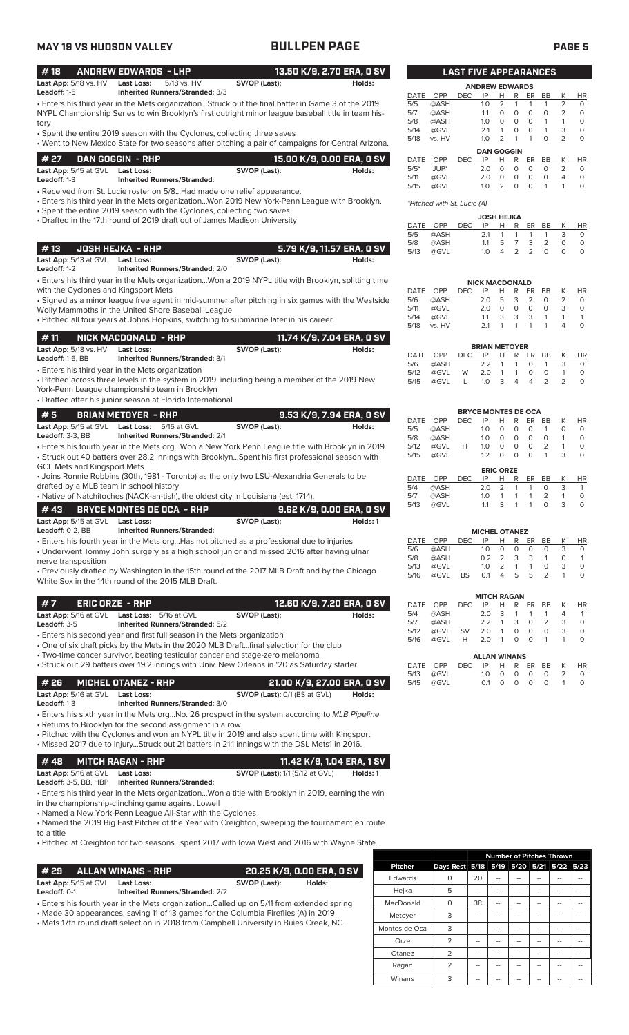## **MAY 19 VS HUDSON VALLEY BULLPEN PAGE PAGE 5**

### • Enters his third year in the Mets organization...Struck out the final batter in Game 3 of the 2019 NYPL Championship Series to win Brooklyn's first outright minor league baseball title in team history • Spent the entire 2019 season with the Cyclones, collecting three saves • Went to New Mexico State for two seasons after pitching a pair of campaigns for Central Arizona. **# 18 ANDREW EDWARDS - LHP 13.50 K/9, 2.70 ERA, 0 SV Last App:**  $5/18$  vs. HV **Last Loss:** 5/18 vs. HV **SV/OP (Last): Leadoff:** 1-5 **Inherited Runners/Stranded:** 3/3 **Inherited Runners/Stranded:** 3/3 **# 27 DAN GOGGIN - RHP 15.00 K/9, 0.00 ERA, 0 SV**

| <b>Last App:</b> 5/15 at GVL Last Loss: |                                    | SV/OP (Last): | Holds: |
|-----------------------------------------|------------------------------------|---------------|--------|
| <b>Leadoff:</b> 1-3                     | <b>Inherited Runners/Stranded:</b> |               |        |
|                                         |                                    |               |        |

• Received from St. Lucie roster on 5/8...Had made one relief appearance.

• Enters his third year in the Mets organization...Won 2019 New York-Penn League with Brooklyn. • Spent the entire 2019 season with the Cyclones, collecting two saves

• Drafted in the 17th round of 2019 draft out of James Madison University

### **# 13 JOSH HEJKA - RHP 5.79 K/9, 11.57 ERA, 0 SV Last App:** 5/13 at GVL **Last Loss: SV/OP (Last): SV/OP (Last):** Holds:<br> **Leadoff:** 1-2 **Inherited Runners/Stranded:** 2/0 **Leadoff:** 1-2 **Inherited Runners/Stranded:** 2/0

• Enters his third year in the Mets organization...Won a 2019 NYPL title with Brooklyn, splitting time with the Cyclones and Kingsport Mets

• Signed as a minor league free agent in mid-summer after pitching in six games with the Westside Wolly Mammoths in the United Shore Baseball League

• Pitched all four years at Johns Hopkins, switching to submarine later in his career.

| #11<br>NICK MACDONALD - RHP      |                                        | 11.74 K/9, 7.04 ERA, 0 SV |        |  |  |
|----------------------------------|----------------------------------------|---------------------------|--------|--|--|
| <b>Last App:</b> $5/18$ vs. $HV$ | Last Loss:                             | SV/OP (Last):             | Holds: |  |  |
| <b>Leadoff:</b> 1-6. $BB$        | <b>Inherited Runners/Stranded: 3/1</b> |                           |        |  |  |

• Enters his third year in the Mets organization

• Pitched across three levels in the system in 2019, including being a member of the 2019 New York-Penn League championship team in Brooklyn

• Drafted after his junior season at Florida International

| l#5<br>BRIAN METOYER - RHP   |                                        |               | 9.53 K/9, 7.94 ERA, 0 SV |
|------------------------------|----------------------------------------|---------------|--------------------------|
| <b>Last App:</b> 5/15 at GVL | <b>Last Loss:</b> 5/15 at GVL          | SV/OP (Last): | Holds:                   |
| <b>Leadoff:</b> $3-3$ . $BB$ | <b>Inherited Runners/Stranded: 2/1</b> |               |                          |

• Enters his fourth year in the Mets org...Won a New York Penn League title with Brooklyn in 2019 • Struck out 40 batters over 28.2 innings with Brooklyn...Spent his first professional season with GCL Mets and Kingsport Mets

• Joins Ronnie Robbins (30th, 1981 - Toronto) as the only two LSU-Alexandria Generals to be drafted by a MLB team in school history

• Native of Natchitoches (NACK-ah-tish), the oldest city in Louisiana (est. 1714).

|                              | # 43       BRYCE MONTES DE OCA  - RHP |               | 9.62 K/9. 0.00 ERA. 0 SV |
|------------------------------|---------------------------------------|---------------|--------------------------|
| <b>Last App:</b> 5/15 at GVL | Last Loss:                            | SV/OP (Last): | Holds: 1                 |
| Leadoff: $0-2.$ BB           | <b>Inherited Runners/Stranded:</b>    |               |                          |

• Enters his fourth year in the Mets org...Has not pitched as a professional due to injuries

• Underwent Tommy John surgery as a high school junior and missed 2016 after having ulnar nerve transposition

• Previously drafted by Washington in the 15th round of the 2017 MLB Draft and by the Chicago White Sox in the 14th round of the 2015 MLB Draft.

| #7                                           | ERIC ORZE - RHP |                                        |               | 12.60 K/9, 7.20 ERA, 0 SV |
|----------------------------------------------|-----------------|----------------------------------------|---------------|---------------------------|
| Last App: 5/16 at GVL Last Loss: 5/16 at GVL |                 |                                        | SV/OP (Last): | Holds:                    |
| Leadoff: $3-5$                               |                 | <b>Inherited Runners/Stranded: 5/2</b> |               |                           |
|                                              |                 |                                        |               |                           |

• Enters his second year and first full season in the Mets organization

• One of six draft picks by the Mets in the 2020 MLB Draft...final selection for the club

• Two-time cancer survivor, beating testicular cancer and stage-zero melanoma<br>• Struck out 29 batters over 19.2 innings with Univ, New Orleans in '20 as Saturday starter • Struck out 29 batters over 192 in

|                                | . Suddy out 25 batters over 19.2 minings with Only, New Oneans in 20 as Sataraay Starter. |                            |  |
|--------------------------------|-------------------------------------------------------------------------------------------|----------------------------|--|
| # 26       MICHEL OTANEZ - RHP |                                                                                           | 21.00 K/9, 27.00 ERA, 0 SV |  |

| <i>T</i> SY – MIGHES STARES IVIII |                                        | ERS IV, O, E7.00 ERA, O OV           |        |
|-----------------------------------|----------------------------------------|--------------------------------------|--------|
| Last App: 5/16 at GVL Last Loss:  |                                        | <b>SV/OP (Last):</b> 0/1 (BS at GVL) | Holds: |
| <b>Leadoff:</b> 1-3               | <b>Inherited Runners/Stranded: 3/0</b> |                                      |        |

• Enters his sixth year in the Mets org...No. 26 prospect in the system according to *MLB Pipeline*

• Returns to Brooklyn for the second assignment in a row

• Pitched with the Cyclones and won an NYPL title in 2019 and also spent time with Kingsport • Missed 2017 due to injury...Struck out 21 batters in 21.1 innings with the DSL Mets1 in 2016.

### **# 48 MITCH RAGAN - RHP 11.42 K/9, 1.04 ERA, 1 SV Last App:** 5/16 at GVL **Last Loss: SV/OP (Last):** 1/1 (5/12 at GVL) **Holds:** 1 **Leadoff:** 3-5, BB, HBP **Inherited Runners/Stranded:**

• Enters his third year in the Mets organization...Won a title with Brooklyn in 2019, earning the win in the championship-clinching game against Lowell

• Named a New York-Penn League All-Star with the Cyclones

• Named the 2019 Big East Pitcher of the Year with Creighton, sweeping the tournament en route to a title

• Pitched at Creighton for two seasons...spent 2017 with Iowa West and 2016 with Wayne State.

| # 29 ALLAN WINANS - RHP                                                                                                                                                        |                                                             |               | . 20.25 K/9. 0.00 ERA. 0 SV ' |  |  |
|--------------------------------------------------------------------------------------------------------------------------------------------------------------------------------|-------------------------------------------------------------|---------------|-------------------------------|--|--|
| <b>Last App:</b> 5/15 at GVL<br>Leadoff: 0-1                                                                                                                                   | <b>Last Loss:</b><br><b>Inherited Runners/Stranded: 2/2</b> | SV/OP (Last): | Holds:                        |  |  |
| • Enters his fourth year in the Mets organizationCalled up on 5/11 from extended spring<br>• Made 30 appearances, saving 11 of 13 games for the Columbia Fireflies (A) in 2019 |                                                             |               |                               |  |  |

• Mets 17th round draft selection in 2018 from Campbell University in Buies Creek, NC.

|                |                                         | <b>Number of Pitches Thrown</b> |  |  |  |  |  |
|----------------|-----------------------------------------|---------------------------------|--|--|--|--|--|
| <b>Pitcher</b> | Days Rest 5/18 5/19 5/20 5/21 5/22 5/23 |                                 |  |  |  |  |  |
| Edwards        | ი                                       | 20                              |  |  |  |  |  |
| Hejka          | 5                                       | --                              |  |  |  |  |  |
| MacDonald      | 0                                       | 38                              |  |  |  |  |  |
| Metoyer        | 3                                       | --                              |  |  |  |  |  |
| Montes de Oca  | 3                                       | --                              |  |  |  |  |  |
| Orze           | $\overline{2}$                          |                                 |  |  |  |  |  |
| Otanez         | $\overline{2}$                          |                                 |  |  |  |  |  |
| Ragan          | $\overline{2}$                          |                                 |  |  |  |  |  |
| Winans         | 3                                       |                                 |  |  |  |  |  |

| <b>LAST FIVE APPEARANCES</b> |         |            |                       |   |          |          |           |                |           |
|------------------------------|---------|------------|-----------------------|---|----------|----------|-----------|----------------|-----------|
|                              |         |            | <b>ANDREW EDWARDS</b> |   |          |          |           |                |           |
| <b>DATE</b>                  | OPP     | <b>DEC</b> | IP                    | н | R        | ER       | <b>BB</b> | κ              | <b>HR</b> |
| 5/5                          | @ASH    |            | 1.0                   | 2 | 1        | 1        | 1         | $\overline{2}$ | 0         |
| 5/7                          | @ASH    |            | 1.1                   | 0 | Ο        | O        | O         | $\overline{2}$ | 0         |
| 5/8                          | @ASH    |            | 1.0                   | O | $\Omega$ | O        | 1         | 1              | 0         |
| 5/14                         | @GVL    |            | 2.1                   | 1 | 0        | O        | 1         | 3              | 0         |
| 5/18                         | vs. HV  |            | 1.0                   | 2 | 1        | 1        | O         | $\overline{2}$ | 0         |
|                              |         |            | <b>DAN GOGGIN</b>     |   |          |          |           |                |           |
| <b>DATE</b>                  | OPP     | DEC        | IP                    | н | R        | ER       | <b>BB</b> | K              | <b>HR</b> |
| $5/5*$                       | $JUP^*$ |            | 2.0                   | O | $\Omega$ | $\Omega$ | O         | $\overline{2}$ | O         |
| 5/11                         | @GVL    |            | 2.0                   | O | O        | O        | O         | 4              | 0         |
| 5/15                         | @GVL    |            | 1.0                   | 2 | 0        | 0        | 1         |                | 0         |

*\*Pitched with St. Lucie (A)*

| <b>JOSH HEJKA</b> |      |      |            |    |               |                |               |   |    |
|-------------------|------|------|------------|----|---------------|----------------|---------------|---|----|
| DATE OPP          |      | DEC. | IP         | H  |               | R ER BB        |               | К | HR |
| 5/5               | @ASH |      | 21         |    | $1 \quad 1$   |                | $1 \quad 1$   | 3 |    |
| 5/8               | @ASH |      | 11         | 5. | 7 3           |                | $\mathcal{L}$ | Ω |    |
| 5/13              | @GVL |      | 1 $\Omega$ | 4  | $\mathcal{P}$ | $\overline{2}$ | $\Omega$      | Ω |    |

|      |        |      | <b>NICK MACDONALD</b> |   |     |               |    |   |    |
|------|--------|------|-----------------------|---|-----|---------------|----|---|----|
| DATE | OPP    | DEC. | IP                    | н | R   | FR            | BB |   | ΗR |
| 5/6  | @ASH   |      | 2 O                   |   | 5 3 | $\mathcal{L}$ | O  |   |    |
| 5/11 | @GVL   |      | 2 O                   | C | O   | O             | O  | 3 |    |
| 5/14 | @GVL   |      | 11                    | 3 | 3   | 3             | 1  |   |    |
| 5/18 | vs. HV |      | 21                    |   |     |               |    |   |    |
|      |        |      |                       |   |     |               |    |   |    |

|          |      |              | <b>BRIAN METOYER</b>  |   |              |                |   |           |
|----------|------|--------------|-----------------------|---|--------------|----------------|---|-----------|
| DATE OPP |      | DEC -        |                       |   | IP H R ER BB |                | K | <b>HR</b> |
| 5/6      | @ASH |              | 2.2 1 1 0             |   |              |                | 3 |           |
| 5/12     | @GVL | <b>W</b>     | $2.0 \quad 1 \quad 1$ |   | $\Omega$     | O              |   |           |
| 5/15     | @GVL | $\mathbf{L}$ | 1.0 3                 | 4 | 4            | $\overline{2}$ |   |           |

| OPP  | <b>DEC</b> | IP  | н | R | ER               | BB             | Κ                          | <b>HR</b> |
|------|------------|-----|---|---|------------------|----------------|----------------------------|-----------|
| @ASH |            | 1.0 | 0 | 0 | O                | 1              | 0                          | Ο         |
| @ASH |            | 1.0 | 0 | 0 | O                | O              | 1                          | O         |
| @GVL | н          | 1.0 | 0 | 0 | O                | $\overline{2}$ | 1                          | 0         |
| @GVL |            | 1.2 | 0 | 0 | O                | 1              | 3                          | O         |
|      |            |     |   |   |                  |                |                            |           |
|      |            |     |   |   |                  |                |                            |           |
| OPP  | <b>DEC</b> | IP  | н | R | ER               | BB             | κ                          | ΗR        |
| @ASH |            | 2.0 | 2 | 1 | 1                | O              | 3                          |           |
| @ASH |            | 1.0 | 1 | 1 | 1                | $\overline{2}$ | 1                          | O         |
| @GVL |            | 1.1 | 3 | 1 | 1                | O              | 3                          |           |
|      |            |     |   |   | <b>ERIC ORZE</b> |                | <b>BRYCE MONTES DE OCA</b> |           |

|      |      |     | <b>MICHEL OTANEZ</b> |               |   |    |           |   |    |
|------|------|-----|----------------------|---------------|---|----|-----------|---|----|
| DATE | OPP  | DEC | IP                   | н             | R | ER | <b>BB</b> |   | ΗR |
| 5/6  | @ASH |     | 1 $\Omega$           |               | O | Ω  | Ω         | 3 | O  |
| 5/8  | @ASH |     | 0.2                  | $\mathcal{L}$ | 3 | 3  |           |   |    |
| 5/13 | @GVL |     | 1 <sub>O</sub>       |               | 1 |    | Ω         | З | O  |
| 5/16 | @GVL | BS  | O 1                  | д             | ↳ | ↳  |           |   |    |

|      |      |     | <b>MITCH RAGAN</b>  |   |   |    |    |   |     |
|------|------|-----|---------------------|---|---|----|----|---|-----|
| DATE | OPP  | DEC | IP                  | н | R | ER | BВ | Κ | ΗR  |
| 5/4  | @ASH |     | 2.0                 | 3 | 1 |    | 1  | 4 | 1   |
| 5/7  | @ASH |     | 2.2                 | 1 | 3 | O  | 2  | 3 | O   |
| 5/12 | @GVL | SV  | 2.0                 | 1 | Ο | O  | O  | 3 | O   |
| 5/16 | @GVL | Н   | 2.0                 | 1 | 0 | O  | 1  |   | O   |
|      |      |     |                     |   |   |    |    |   |     |
|      |      |     | <b>ALLAN WINANS</b> |   |   |    |    |   |     |
| DATE | OPP  | DEC | IP                  | н | R | ER | ВB | К | HR. |
| 5/13 | @GVL |     | 1.0                 | Ω | O | O  | O  | 2 | ი   |

5/15 @GVL 0.1 0 0 0 0 1 0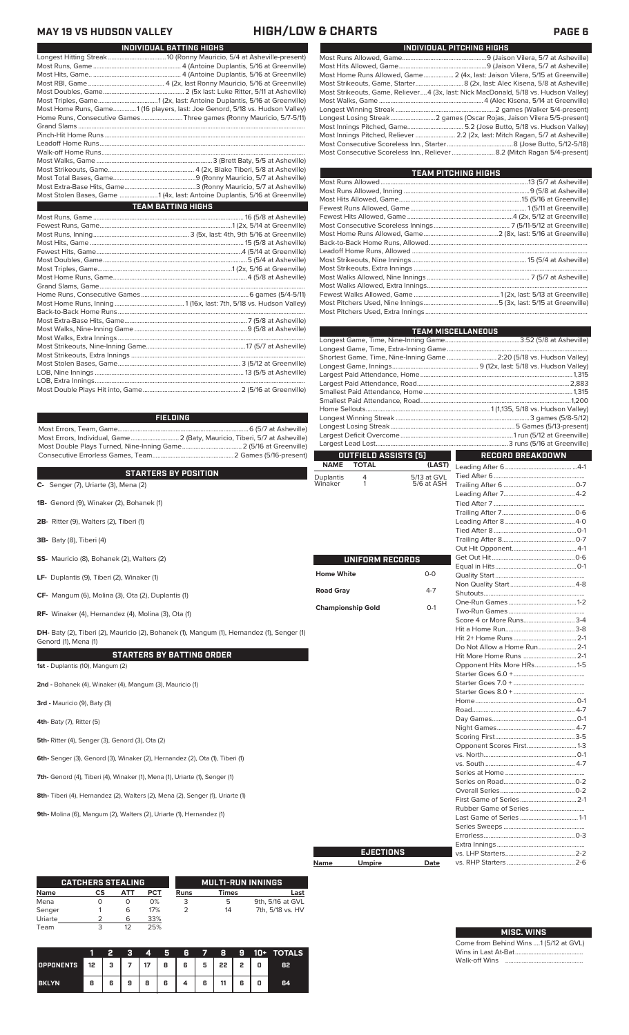**MAY 19 VS HUDSON VALLEY HIGH/LOW & CHARTS PAGE 6**

| INDIVIDUAL BATTING HIGHS                                                     |
|------------------------------------------------------------------------------|
|                                                                              |
|                                                                              |
|                                                                              |
|                                                                              |
|                                                                              |
|                                                                              |
| Most Home Runs, Game1 (16 players, last: Joe Genord, 5/18 vs. Hudson Valley) |
| Home Runs, Consecutive Games Three games (Ronny Mauricio, 5/7-5/11)          |
|                                                                              |
|                                                                              |
|                                                                              |
|                                                                              |
|                                                                              |
|                                                                              |
|                                                                              |
|                                                                              |
| Most Stolen Bases, Game 1 (4x, last: Antoine Duplantis, 5/16 at Greenville)  |
| <b>TEAM BATTING HIGHS</b>                                                    |
|                                                                              |
|                                                                              |
|                                                                              |
|                                                                              |
|                                                                              |
|                                                                              |
|                                                                              |
|                                                                              |
|                                                                              |
|                                                                              |
|                                                                              |
|                                                                              |
|                                                                              |
|                                                                              |
|                                                                              |
|                                                                              |
|                                                                              |
|                                                                              |
|                                                                              |
|                                                                              |
|                                                                              |

### **FIELDING**

Most Errors, Team, Game...............................................................................6 (5/7 at Asheville) Most Errors, Individual, Game............................. 2 (Baty, Mauricio, Tiberi, 5/7 at Asheville) Most Double Plays Turned, Nine-Inning Game.................................... 2 (5/16 at Greenville) Consecutive Errorless Games, Team...

**C- Senger (7), Uriarte (3), Mena (2) Windows 2 8Y PUSITION**<br> **C- Senger (7), Uriarte (3), Mena (2)** Wina **STARTERS BY POSITION**

- 
- **1B-** Genord (9), Winaker (2), Bohanek (1)
- **2B-** Ritter (9), Walters (2), Tiberi (1)
- **3B-** Baty (8), Tiberi (4)
- **SS-** Mauricio (8), Bohanek (2), Walters (2)
- **LF-** Duplantis (9), Tiberi (2), Winaker (1)
- **CF-** Mangum (6), Molina (3), Ota (2), Duplantis (1)
- **RF-** Winaker (4), Hernandez (4), Molina (3), Ota (1)

**STARTERS BY BATTING ORDER DH-** Baty (2), Tiberi (2), Mauricio (2), Bohanek (1), Mangum (1), Hernandez (1), Senger (1) Genord (1), Mena (1)

**1st -** Duplantis (10), Mangum (2)

**2nd -** Bohanek (4), Winaker (4), Mangum (3), Mauricio (1)

**3rd -** Mauricio (9), Baty (3)

**4th-** Baty (7), Ritter (5)

**5th-** Ritter (4), Senger (3), Genord (3), Ota (2)

**6th-** Senger (3), Genord (3), Winaker (2), Hernandez (2), Ota (1), Tiberi (1)

**7th-** Genord (4), Tiberi (4), Winaker (1), Mena (1), Uriarte (1), Senger (1)

**8th-** Tiberi (4), Hernandez (2), Walters (2), Mena (2), Senger (1), Uriarte (1)

**9th-** Molina (6), Mangum (2), Walters (2), Uriarte (1), Hernandez (1)

|         | <b>CATCHERS STEALING</b> |     |            |      | <b>MULTI-RUN INNINGS</b> |                  |
|---------|--------------------------|-----|------------|------|--------------------------|------------------|
| Name    | CS                       | АТТ | <b>PCT</b> | Runs | Times                    | Last             |
| Mena    |                          | O   | 0%         | 3    | 5                        | 9th, 5/16 at GVL |
| Senger  |                          | 6   | 17%        |      | 14                       | 7th, 5/18 vs. HV |
| Uriarte |                          | 6   | 33%        |      |                          |                  |
| Team    |                          | 12  | 25%        |      |                          |                  |

|                  |                                      |   | a | 4 | 5. | 7 G.     | - 7 - | -8 | -9 |   | 10+ TOTALS |
|------------------|--------------------------------------|---|---|---|----|----------|-------|----|----|---|------------|
| <b>OPPONENTS</b> | 12   3   7   17   8   6   5   22   2 |   |   |   |    |          |       |    |    | o | 82         |
| <b>BKLYN</b>     | 8                                    | 6 | 9 | 8 | 6  | $4 \mid$ | 6     | 11 | 6  | o | 64         |

|--|--|--|

| INDIVIDUAL PITCHING HIGHS                                                            |
|--------------------------------------------------------------------------------------|
|                                                                                      |
|                                                                                      |
| Most Home Runs Allowed, Game 2 (4x, last: Jaison Vilera, 5/15 at Greenville)         |
|                                                                                      |
| Most Strikeouts, Game, Reliever 4 (3x, last: Nick MacDonald, 5/18 vs. Hudson Valley) |
|                                                                                      |
|                                                                                      |
|                                                                                      |
|                                                                                      |
| Most Innings Pitched, Reliever  2.2 (2x, last: Mitch Ragan, 5/7 at Asheville)        |
|                                                                                      |
|                                                                                      |

| <b>TEAM PITCHING HIGHS</b> |  |
|----------------------------|--|
|                            |  |
|                            |  |
|                            |  |
|                            |  |
|                            |  |
|                            |  |
|                            |  |
|                            |  |
|                            |  |
|                            |  |
|                            |  |
|                            |  |
|                            |  |
|                            |  |
|                            |  |
|                            |  |

|                          |                      |             | <b>TEAM MISCELLANEOUS</b>                                            |  |
|--------------------------|----------------------|-------------|----------------------------------------------------------------------|--|
|                          |                      |             |                                                                      |  |
|                          |                      |             |                                                                      |  |
|                          |                      |             | Shortest Game, Time, Nine-Inning Game  2:20 (5/18 vs. Hudson Valley) |  |
|                          |                      |             |                                                                      |  |
|                          |                      |             |                                                                      |  |
|                          |                      |             |                                                                      |  |
|                          |                      |             |                                                                      |  |
|                          |                      |             |                                                                      |  |
|                          |                      |             |                                                                      |  |
|                          |                      |             |                                                                      |  |
|                          |                      |             |                                                                      |  |
|                          |                      |             |                                                                      |  |
|                          | OUTFIELD ASSISTS [5] |             | <b>RECORD BREAKDOWN</b>                                              |  |
| <b>NAME</b>              | <b>TOTAL</b>         | (LAST)      |                                                                      |  |
|                          | 4                    | 5/13 at GVL |                                                                      |  |
| Duplantis<br>Winaker     | 1                    | 5/6 at ASH  |                                                                      |  |
|                          |                      |             |                                                                      |  |
|                          |                      |             |                                                                      |  |
|                          |                      |             |                                                                      |  |
|                          |                      |             |                                                                      |  |
|                          |                      |             |                                                                      |  |
|                          |                      |             |                                                                      |  |
|                          |                      |             |                                                                      |  |
|                          |                      |             |                                                                      |  |
|                          | UNIFORM RECORDS      |             |                                                                      |  |
| <b>Home White</b>        |                      | $0 - 0$     |                                                                      |  |
|                          |                      |             |                                                                      |  |
| <b>Road Gray</b>         |                      | $4 - 7$     |                                                                      |  |
|                          |                      |             |                                                                      |  |
| <b>Championship Gold</b> |                      | $O-1$       |                                                                      |  |
|                          |                      |             | Score 4 or More Runs3-4                                              |  |
|                          |                      |             |                                                                      |  |
|                          |                      |             |                                                                      |  |
|                          |                      |             |                                                                      |  |
|                          |                      |             | Hit More Home Runs  2-1                                              |  |
|                          |                      |             | Opponent Hits More HRs1-5                                            |  |
|                          |                      |             |                                                                      |  |
|                          |                      |             |                                                                      |  |
|                          |                      |             |                                                                      |  |
|                          |                      |             |                                                                      |  |
|                          |                      |             |                                                                      |  |
|                          |                      |             |                                                                      |  |
|                          |                      |             |                                                                      |  |
|                          |                      |             |                                                                      |  |
|                          |                      |             | Opponent Scores First 1-3                                            |  |
|                          |                      |             |                                                                      |  |
|                          |                      |             |                                                                      |  |
|                          |                      |             |                                                                      |  |
|                          |                      |             |                                                                      |  |
|                          |                      |             |                                                                      |  |
|                          |                      |             |                                                                      |  |
|                          |                      |             |                                                                      |  |
|                          |                      |             |                                                                      |  |
|                          |                      |             |                                                                      |  |
|                          |                      |             |                                                                      |  |
|                          |                      |             |                                                                      |  |
|                          | <b>EJECTIONS</b>     |             |                                                                      |  |
| Name                     | <b>Umpire</b>        | Date        |                                                                      |  |

**Name Umpire Date**

| <b>MISC. WINS</b>                |  |
|----------------------------------|--|
| he from Behind Wins 1 (5/12 at 0 |  |

vs. RHP Starters ...

Come from Behind Wins ....1 (5/12 at GVL) Wins in Last At-Bat......................................... Walk-off Wins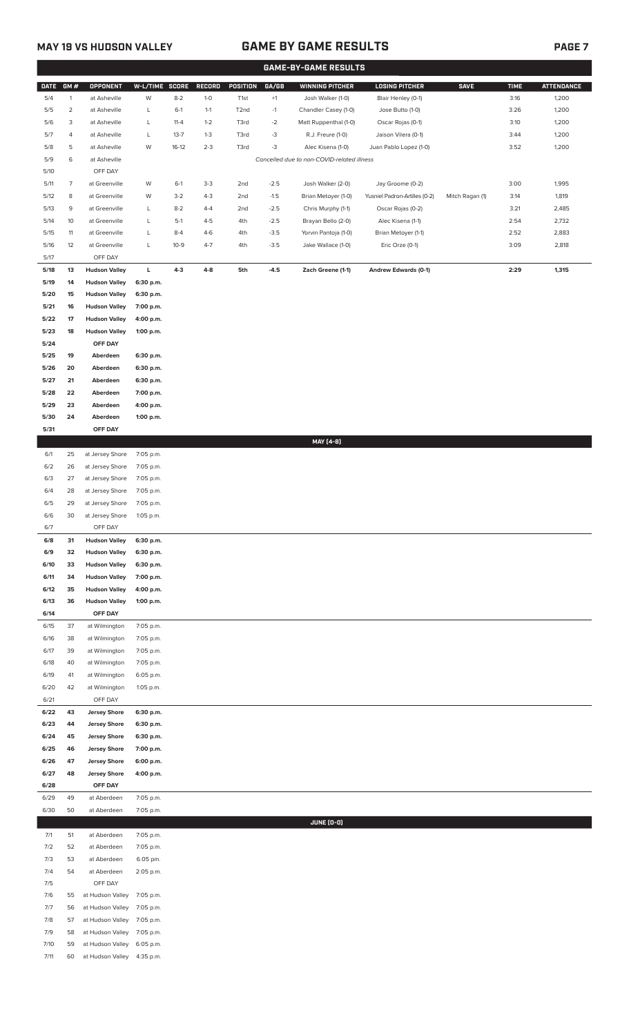## **MAY 19 VS HUDSON VALLEY GAME BY GAME RESULTS PAGE 7**

|             |                |                            |                |          |         |                   |        | <b>GAME-BY-GAME RESULTS</b>                |                               |                 |             |                   |
|-------------|----------------|----------------------------|----------------|----------|---------|-------------------|--------|--------------------------------------------|-------------------------------|-----------------|-------------|-------------------|
| <b>DATE</b> | GM#            | <b>OPPONENT</b>            | W-L/TIME SCORE |          | RECORD  | POSITION          | GA/GB  | <b>WINNING PITCHER</b>                     | <b>LOSING PITCHER</b>         | <b>SAVE</b>     | <b>TIME</b> | <b>ATTENDANCE</b> |
| 5/4         | $\mathbf{1}$   | at Asheville               | W              | $8 - 2$  | $1-0$   | T <sub>1st</sub>  | $+1$   | Josh Walker (1-0)                          | Blair Henley (0-1)            |                 | 3:16        | 1,200             |
| 5/5         | $\overline{c}$ | at Asheville               | L              | $6-1$    | $1 - 1$ | T <sub>2</sub> nd | $-1$   | Chandler Casey (1-0)                       | Jose Butto (1-0)              |                 | 3:26        | 1,200             |
| 5/6         | 3              | at Asheville               | L              | $11 - 4$ | $1 - 2$ | T3rd              | $-2$   | Matt Ruppenthal (1-0)                      | Oscar Rojas (0-1)             |                 | 3:10        | 1,200             |
| 5/7         | 4              | at Asheville               | L              | $13 - 7$ | $1 - 3$ | T3rd              | $-3$   | R.J. Freure (1-0)                          | Jaison Vilera (0-1)           |                 | 3:44        | 1,200             |
| 5/8         | 5              | at Asheville               | W              | $16-12$  | $2 - 3$ | T3rd              | $-3$   | Alec Kisena (1-0)                          | Juan Pablo Lopez (1-0)        |                 | 3:52        | 1,200             |
| 5/9         | 6              | at Asheville               |                |          |         |                   |        | Cancelled due to non-COVID-related illness |                               |                 |             |                   |
| 5/10        |                | OFF DAY                    |                |          |         |                   |        |                                            |                               |                 |             |                   |
|             | $\overline{7}$ |                            | W              |          | $3-3$   |                   | $-2.5$ |                                            | Jay Groome (0-2)              |                 | 3:00        | 1,995             |
| 5/11        |                | at Greenville              |                | $6-1$    |         | 2nd               |        | Josh Walker (2-0)                          |                               |                 |             |                   |
| 5/12        | 8              | at Greenville              | W              | $3 - 2$  | $4 - 3$ | 2nd               | $-1.5$ | Brian Metoyer (1-0)                        | Yusniel Padron-Artilles (0-2) | Mitch Ragan (1) | 3:14        | 1,819             |
| 5/13        | 9              | at Greenville              | L              | $8 - 2$  | $4 - 4$ | 2nd               | $-2.5$ | Chris Murphy (1-1)                         | Oscar Rojas (0-2)             |                 | 3:21        | 2,485             |
| 5/14        | 10             | at Greenville              | L              | $5-1$    | $4 - 5$ | 4th               | $-2.5$ | Brayan Bello (2-0)                         | Alec Kisena (1-1)             |                 | 2:54        | 2,732             |
| 5/15        | 11             | at Greenville              | L              | $8 - 4$  | $4 - 6$ | 4th               | $-3.5$ | Yorvin Pantoja (1-0)                       | Brian Metoyer (1-1)           |                 | 2:52        | 2,883             |
| $5/16$      | 12             | at Greenville              | L              | $10 - 9$ | $4 - 7$ | 4th               | $-3.5$ | Jake Wallace (1-0)                         | Eric Orze (0-1)               |                 | 3:09        | 2,818             |
| 5/17        |                | OFF DAY                    |                |          |         |                   |        |                                            |                               |                 |             |                   |
| $5/18$      | 13             | <b>Hudson Valley</b>       | L.             | $4 - 3$  | $4 - 8$ | 5th               | $-4.5$ | Zach Greene (1-1)                          | <b>Andrew Edwards (0-1)</b>   |                 | 2:29        | 1,315             |
| 5/19        | 14             | <b>Hudson Valley</b>       | 6:30 p.m.      |          |         |                   |        |                                            |                               |                 |             |                   |
| 5/20        | 15             | <b>Hudson Valley</b>       | 6:30 p.m.      |          |         |                   |        |                                            |                               |                 |             |                   |
| 5/21        | 16             | <b>Hudson Valley</b>       | 7:00 p.m.      |          |         |                   |        |                                            |                               |                 |             |                   |
| 5/22        | 17             | <b>Hudson Valley</b>       | 4:00 p.m.      |          |         |                   |        |                                            |                               |                 |             |                   |
| 5/23        | 18             | <b>Hudson Valley</b>       | 1:00 p.m.      |          |         |                   |        |                                            |                               |                 |             |                   |
| 5/24        |                | OFF DAY                    |                |          |         |                   |        |                                            |                               |                 |             |                   |
| 5/25        | 19             | Aberdeen                   | 6:30 p.m.      |          |         |                   |        |                                            |                               |                 |             |                   |
| 5/26        | 20             | Aberdeen                   | 6:30 p.m.      |          |         |                   |        |                                            |                               |                 |             |                   |
| 5/27        | 21             | Aberdeen                   | 6:30 p.m.      |          |         |                   |        |                                            |                               |                 |             |                   |
| 5/28        | 22             | Aberdeen                   | 7:00 p.m.      |          |         |                   |        |                                            |                               |                 |             |                   |
| 5/29        | 23             | Aberdeen                   | 4:00 p.m.      |          |         |                   |        |                                            |                               |                 |             |                   |
| 5/30        | 24             | Aberdeen                   | 1:00 p.m.      |          |         |                   |        |                                            |                               |                 |             |                   |
| 5/31        |                | OFF DAY                    |                |          |         |                   |        |                                            |                               |                 |             |                   |
|             |                |                            |                |          |         |                   |        | MAY [4-8]                                  |                               |                 |             |                   |
| 6/1         | 25             | at Jersey Shore            | 7:05 p.m.      |          |         |                   |        |                                            |                               |                 |             |                   |
| 6/2         | 26             | at Jersey Shore            | 7:05 p.m.      |          |         |                   |        |                                            |                               |                 |             |                   |
|             | 27             |                            |                |          |         |                   |        |                                            |                               |                 |             |                   |
| 6/3         |                | at Jersey Shore            | 7:05 p.m.      |          |         |                   |        |                                            |                               |                 |             |                   |
| 6/4         | 28             | at Jersey Shore            | 7:05 p.m.      |          |         |                   |        |                                            |                               |                 |             |                   |
| 6/5         | 29             | at Jersey Shore            | 7:05 p.m.      |          |         |                   |        |                                            |                               |                 |             |                   |
| 6/6         | 30             | at Jersey Shore            | 1:05 p.m.      |          |         |                   |        |                                            |                               |                 |             |                   |
| 6/7         |                | OFF DAY                    |                |          |         |                   |        |                                            |                               |                 |             |                   |
| 6/8         | 31             | <b>Hudson Valley</b>       | 6:30 p.m.      |          |         |                   |        |                                            |                               |                 |             |                   |
| 6/9         | 32             | <b>Hudson Valley</b>       | 6:30 p.m.      |          |         |                   |        |                                            |                               |                 |             |                   |
| 6/10        | 33             | <b>Hudson Valley</b>       | 6:30 p.m.      |          |         |                   |        |                                            |                               |                 |             |                   |
| 6/11        | 34             | <b>Hudson Valley</b>       | 7:00 p.m.      |          |         |                   |        |                                            |                               |                 |             |                   |
| 6/12        | 35             | <b>Hudson Valley</b>       | 4:00 p.m.      |          |         |                   |        |                                            |                               |                 |             |                   |
| 6/13        | 36             | <b>Hudson Valley</b>       | 1:00 p.m.      |          |         |                   |        |                                            |                               |                 |             |                   |
| 6/14        |                | OFF DAY                    |                |          |         |                   |        |                                            |                               |                 |             |                   |
| 6/15        | 37             | at Wilmington              | 7:05 p.m.      |          |         |                   |        |                                            |                               |                 |             |                   |
| 6/16        | 38             | at Wilmington              | 7:05 p.m.      |          |         |                   |        |                                            |                               |                 |             |                   |
| 6/17        | 39             | at Wilmington              | 7:05 p.m.      |          |         |                   |        |                                            |                               |                 |             |                   |
| 6/18        | 40             | at Wilmington              | 7:05 p.m.      |          |         |                   |        |                                            |                               |                 |             |                   |
| 6/19        | 41             | at Wilmington              | 6:05 p.m.      |          |         |                   |        |                                            |                               |                 |             |                   |
| 6/20        | 42             | at Wilmington              | 1:05 p.m.      |          |         |                   |        |                                            |                               |                 |             |                   |
| 6/21        |                | OFF DAY                    |                |          |         |                   |        |                                            |                               |                 |             |                   |
| 6/22        | 43             | <b>Jersey Shore</b>        | 6:30 p.m.      |          |         |                   |        |                                            |                               |                 |             |                   |
| 6/23        | 44             | <b>Jersey Shore</b>        | 6:30 p.m.      |          |         |                   |        |                                            |                               |                 |             |                   |
| 6/24        | 45             | <b>Jersey Shore</b>        | 6:30 p.m.      |          |         |                   |        |                                            |                               |                 |             |                   |
| 6/25        | 46             | <b>Jersey Shore</b>        | 7:00 p.m.      |          |         |                   |        |                                            |                               |                 |             |                   |
| 6/26        | 47             | <b>Jersey Shore</b>        | 6:00 p.m.      |          |         |                   |        |                                            |                               |                 |             |                   |
| 6/27        | 48             | <b>Jersey Shore</b>        | 4:00 p.m.      |          |         |                   |        |                                            |                               |                 |             |                   |
| 6/28        |                | OFF DAY                    |                |          |         |                   |        |                                            |                               |                 |             |                   |
| 6/29        | 49             | at Aberdeen                | 7:05 p.m.      |          |         |                   |        |                                            |                               |                 |             |                   |
| 6/30        | 50             | at Aberdeen                | 7:05 p.m.      |          |         |                   |        |                                            |                               |                 |             |                   |
|             |                |                            |                |          |         |                   |        | JUNE (0-0)                                 |                               |                 |             |                   |
|             | 51             | at Aberdeen                |                |          |         |                   |        |                                            |                               |                 |             |                   |
| 7/1         |                |                            | 7:05 p.m.      |          |         |                   |        |                                            |                               |                 |             |                   |
| 7/2         | 52             | at Aberdeen                | 7:05 p.m.      |          |         |                   |        |                                            |                               |                 |             |                   |
| 7/3         | 53             | at Aberdeen                | 6:05 pm.       |          |         |                   |        |                                            |                               |                 |             |                   |
| 7/4         | 54             | at Aberdeen                | 2:05 p.m.      |          |         |                   |        |                                            |                               |                 |             |                   |
| 7/5         |                | OFF DAY                    |                |          |         |                   |        |                                            |                               |                 |             |                   |
| 7/6         | 55             | at Hudson Valley           | 7:05 p.m.      |          |         |                   |        |                                            |                               |                 |             |                   |
| 7/7         | 56             | at Hudson Valley           | 7:05 p.m.      |          |         |                   |        |                                            |                               |                 |             |                   |
| 7/8         | 57             | at Hudson Valley           | 7:05 p.m.      |          |         |                   |        |                                            |                               |                 |             |                   |
| 7/9         | 58             | at Hudson Valley           | 7:05 p.m.      |          |         |                   |        |                                            |                               |                 |             |                   |
| 7/10        | 59             | at Hudson Valley 6:05 p.m. |                |          |         |                   |        |                                            |                               |                 |             |                   |

7/11 60 at Hudson Valley 4:35 p.m.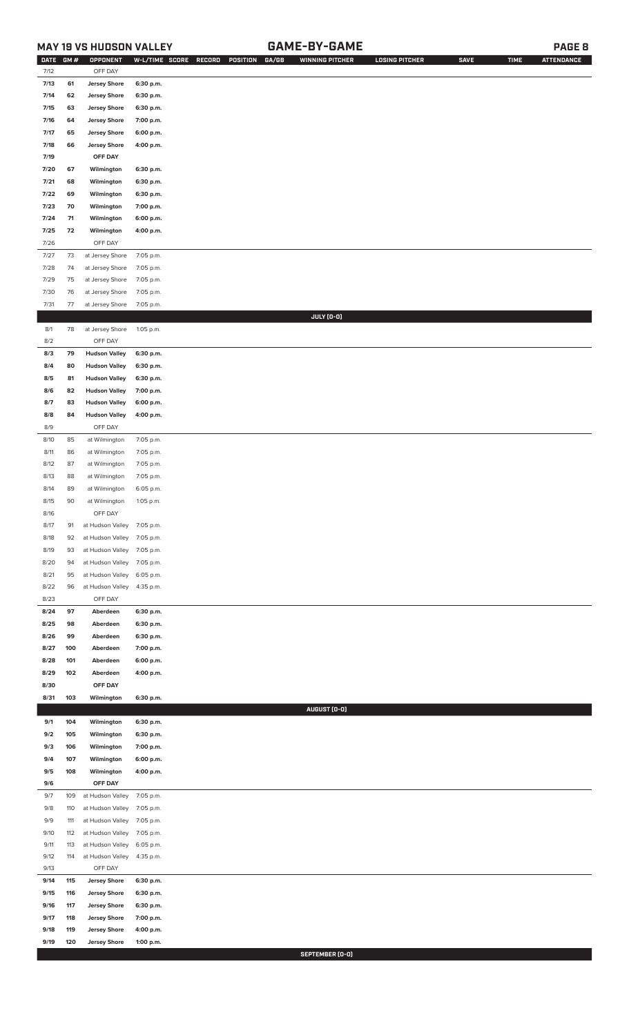## **MAY 19 VS HUDSON VALLEY GAME-BY-GAME PAGE 8**

| <b>DATE</b> | GM# | OPPONENT                   |           | W-L/TIME SCORE RECORD<br>POSITION<br>GA/GB | <b>WINNING PITCHER</b> | <b>LOSING PITCHER</b> | <b>SAVE</b> | <b>TIME</b> | <b>ATTENDANCE</b> |
|-------------|-----|----------------------------|-----------|--------------------------------------------|------------------------|-----------------------|-------------|-------------|-------------------|
| 7/12        |     | OFF DAY                    |           |                                            |                        |                       |             |             |                   |
| 7/13        | 61  | <b>Jersey Shore</b>        | 6:30 p.m. |                                            |                        |                       |             |             |                   |
| 7/14        | 62  | <b>Jersey Shore</b>        | 6:30 p.m. |                                            |                        |                       |             |             |                   |
| 7/15        | 63  | <b>Jersey Shore</b>        | 6:30 p.m. |                                            |                        |                       |             |             |                   |
| 7/16        | 64  | <b>Jersey Shore</b>        | 7:00 p.m. |                                            |                        |                       |             |             |                   |
| 7/17        | 65  | <b>Jersey Shore</b>        | 6:00 p.m. |                                            |                        |                       |             |             |                   |
|             |     |                            |           |                                            |                        |                       |             |             |                   |
| 7/18        | 66  | <b>Jersey Shore</b>        | 4:00 p.m. |                                            |                        |                       |             |             |                   |
| 7/19        |     | OFF DAY                    |           |                                            |                        |                       |             |             |                   |
| 7/20        | 67  | Wilmington                 | 6:30 p.m. |                                            |                        |                       |             |             |                   |
| 7/21        | 68  | Wilmington                 | 6:30 p.m. |                                            |                        |                       |             |             |                   |
| 7/22        | 69  | Wilmington                 | 6:30 p.m. |                                            |                        |                       |             |             |                   |
| 7/23        | 70  | Wilmington                 | 7:00 p.m. |                                            |                        |                       |             |             |                   |
| 7/24        | 71  | Wilmington                 | 6:00 p.m. |                                            |                        |                       |             |             |                   |
| 7/25        | 72  | Wilmington                 | 4:00 p.m. |                                            |                        |                       |             |             |                   |
| 7/26        |     | OFF DAY                    |           |                                            |                        |                       |             |             |                   |
| 7/27        | 73  | at Jersey Shore            | 7:05 p.m. |                                            |                        |                       |             |             |                   |
| 7/28        | 74  | at Jersey Shore            | 7:05 p.m. |                                            |                        |                       |             |             |                   |
| 7/29        | 75  | at Jersey Shore            | 7:05 p.m. |                                            |                        |                       |             |             |                   |
| 7/30        | 76  | at Jersey Shore            | 7:05 p.m. |                                            |                        |                       |             |             |                   |
|             |     |                            |           |                                            |                        |                       |             |             |                   |
| 7/31        | 77  | at Jersey Shore            | 7:05 p.m. |                                            | JULY (0-0)             |                       |             |             |                   |
|             | 78  |                            |           |                                            |                        |                       |             |             |                   |
| 8/1         |     | at Jersey Shore            | 1:05 p.m. |                                            |                        |                       |             |             |                   |
| 8/2         |     | OFF DAY                    |           |                                            |                        |                       |             |             |                   |
| 8/3         | 79  | <b>Hudson Valley</b>       | 6:30 p.m. |                                            |                        |                       |             |             |                   |
| 8/4         | 80  | <b>Hudson Valley</b>       | 6:30 p.m. |                                            |                        |                       |             |             |                   |
| 8/5         | 81  | <b>Hudson Valley</b>       | 6:30 p.m. |                                            |                        |                       |             |             |                   |
| 8/6         | 82  | <b>Hudson Valley</b>       | 7:00 p.m. |                                            |                        |                       |             |             |                   |
| 8/7         | 83  | <b>Hudson Valley</b>       | 6:00 p.m. |                                            |                        |                       |             |             |                   |
| 8/8         | 84  | <b>Hudson Valley</b>       | 4:00 p.m. |                                            |                        |                       |             |             |                   |
| 8/9         |     | OFF DAY                    |           |                                            |                        |                       |             |             |                   |
| 8/10        | 85  | at Wilmington              | 7:05 p.m. |                                            |                        |                       |             |             |                   |
| 8/11        | 86  | at Wilmington              | 7:05 p.m. |                                            |                        |                       |             |             |                   |
| 8/12        | 87  | at Wilmington              | 7:05 p.m. |                                            |                        |                       |             |             |                   |
| 8/13        | 88  | at Wilmington              | 7:05 p.m. |                                            |                        |                       |             |             |                   |
| 8/14        | 89  | at Wilmington              | 6:05 p.m. |                                            |                        |                       |             |             |                   |
| 8/15        | 90  | at Wilmington              | 1:05 p.m. |                                            |                        |                       |             |             |                   |
| 8/16        |     | OFF DAY                    |           |                                            |                        |                       |             |             |                   |
| 8/17        | 91  | at Hudson Valley 7:05 p.m. |           |                                            |                        |                       |             |             |                   |
| 8/18        | 92  | at Hudson Valley           | 7:05 p.m. |                                            |                        |                       |             |             |                   |
| 8/19        | 93  | at Hudson Valley           | 7:05 p.m. |                                            |                        |                       |             |             |                   |
| 8/20        | 94  | at Hudson Valley           | 7:05 p.m. |                                            |                        |                       |             |             |                   |
| 8/21        | 95  | at Hudson Valley           | 6:05 p.m. |                                            |                        |                       |             |             |                   |
| 8/22        | 96  | at Hudson Valley           | 4:35 p.m. |                                            |                        |                       |             |             |                   |
| 8/23        |     | OFF DAY                    |           |                                            |                        |                       |             |             |                   |
|             |     |                            |           |                                            |                        |                       |             |             |                   |
| 8/24        | 97  | Aberdeen                   | 6:30 p.m. |                                            |                        |                       |             |             |                   |
| 8/25        | 98  | Aberdeen                   | 6:30 p.m. |                                            |                        |                       |             |             |                   |
| 8/26        | 99  | Aberdeen                   | 6:30 p.m. |                                            |                        |                       |             |             |                   |
| 8/27        | 100 | Aberdeen                   | 7:00 p.m. |                                            |                        |                       |             |             |                   |
| 8/28        | 101 | Aberdeen                   | 6:00 p.m. |                                            |                        |                       |             |             |                   |
| 8/29        | 102 | Aberdeen                   | 4:00 p.m. |                                            |                        |                       |             |             |                   |
| 8/30        |     | OFF DAY                    |           |                                            |                        |                       |             |             |                   |
| 8/31        | 103 | Wilmington                 | 6:30 p.m. |                                            |                        |                       |             |             |                   |
|             |     |                            |           |                                            | AUGUST (0-0)           |                       |             |             |                   |
| 9/1         | 104 | Wilmington                 | 6:30 p.m. |                                            |                        |                       |             |             |                   |
| 9/2         | 105 | Wilmington                 | 6:30 p.m. |                                            |                        |                       |             |             |                   |
| 9/3         | 106 | Wilmington                 | 7:00 p.m. |                                            |                        |                       |             |             |                   |
| 9/4         | 107 | Wilmington                 | 6:00 p.m. |                                            |                        |                       |             |             |                   |
| 9/5         | 108 | Wilmington                 | 4:00 p.m. |                                            |                        |                       |             |             |                   |
| 9/6         |     | OFF DAY                    |           |                                            |                        |                       |             |             |                   |
| 9/7         | 109 | at Hudson Valley           | 7:05 p.m. |                                            |                        |                       |             |             |                   |
| 9/8         | 110 | at Hudson Valley           | 7:05 p.m. |                                            |                        |                       |             |             |                   |
| 9/9         | 111 | at Hudson Valley           | 7:05 p.m. |                                            |                        |                       |             |             |                   |
| 9/10        | 112 | at Hudson Valley           | 7:05 p.m. |                                            |                        |                       |             |             |                   |
| 9/11        | 113 | at Hudson Valley           | 6:05 p.m. |                                            |                        |                       |             |             |                   |
| 9/12        | 114 | at Hudson Valley           | 4:35 p.m. |                                            |                        |                       |             |             |                   |
| 9/13        |     | OFF DAY                    |           |                                            |                        |                       |             |             |                   |
| 9/14        | 115 | <b>Jersey Shore</b>        | 6:30 p.m. |                                            |                        |                       |             |             |                   |
| 9/15        | 116 | <b>Jersey Shore</b>        | 6:30 p.m. |                                            |                        |                       |             |             |                   |
| 9/16        | 117 | <b>Jersey Shore</b>        | 6:30 p.m. |                                            |                        |                       |             |             |                   |
| 9/17        | 118 | <b>Jersey Shore</b>        | 7:00 p.m. |                                            |                        |                       |             |             |                   |
| 9/18        | 119 | <b>Jersey Shore</b>        | 4:00 p.m. |                                            |                        |                       |             |             |                   |
| 9/19        | 120 | <b>Jersey Shore</b>        | 1:00 p.m. |                                            |                        |                       |             |             |                   |